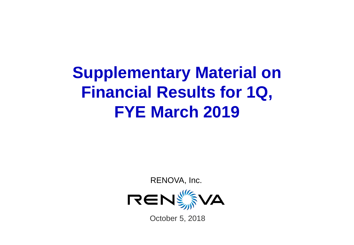# **Supplementary Material on Financial Results for 1Q, FYE March 2019**

RENOVA, Inc.



October 5, 2018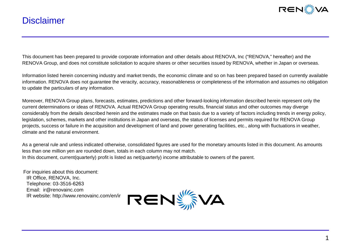

### **Disclaimer**

This document has been prepared to provide corporate information and other details about RENOVA, Inc ("RENOVA," hereafter) and the RENOVA Group, and does not constitute solicitation to acquire shares or other securities issued by RENOVA, whether in Japan or overseas.

Information listed herein concerning industry and market trends, the economic climate and so on has been prepared based on currently available information. RENOVA does not guarantee the veracity, accuracy, reasonableness or completeness of the information and assumes no obligation to update the particulars of any information.

Moreover, RENOVA Group plans, forecasts, estimates, predictions and other forward-looking information described herein represent only the current determinations or ideas of RENOVA. Actual RENOVA Group operating results, financial status and other outcomes may diverge considerably from the details described herein and the estimates made on that basis due to a variety of factors including trends in energy policy, legislation, schemes, markets and other institutions in Japan and overseas, the status of licenses and permits required for RENOVA Group projects, success or failure in the acquisition and development of land and power generating facilities, etc., along with fluctuations in weather, climate and the natural environment.

As a general rule and unless indicated otherwise, consolidated figures are used for the monetary amounts listed in this document. As amounts less than one million yen are rounded down, totals in each column may not match. In this document, current(quarterly) profit is listed as net(quarterly) income attributable to owners of the parent.

For inquiries about this document: IR Office, RENOVA, Inc. Telephone: 03-3516-6263 Email: ir@renovainc.com IR website: http://www.renovainc.com/en/ir

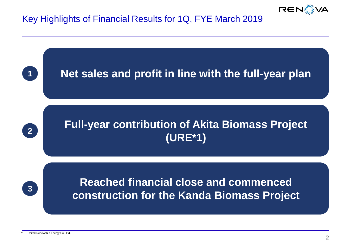

# Key Highlights of Financial Results for 1Q, FYE March 2019

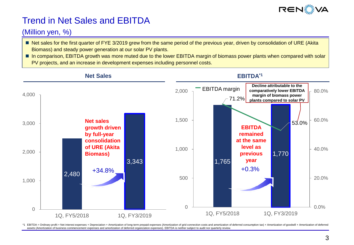

# Trend in Net Sales and EBITDA

#### (Million yen, %)

- Net sales for the first quarter of FYE 3/2019 grew from the same period of the previous year, driven by consolidation of URE (Akita Biomass) and steady power generation at our solar PV plants.
- In comparison, EBITDA growth was more muted due to the lower EBITDA margin of biomass power plants when compared with solar PV projects, and an increase in development expenses including personnel costs.



\*1 EBITDA = Ordinary profit + Net interest expenses + Depreciation + Amortization of long-term prepaid expenses (Amortization of grid connection costs and amortization of deferred consumption tax) + Amortization of goodwil assets (Amortization of business commencement expenses and amortization of deferred organization expenses). EBITDA is neither subject to audit nor quarterly review.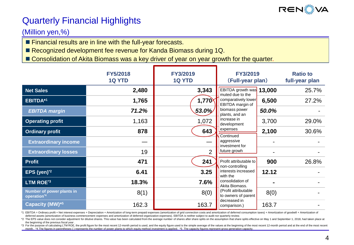

### Quarterly Financial Highlights

### (Million yen,%)

**Financial results are in line with the full-year forecasts.** 

■ Recognized development fee revenue for Kanda Biomass during 1Q.

■ Consolidation of Akita Biomass was a key driver of year on year growth for the quarter.

|                                          | <b>FY5/2018</b><br><b>1Q YTD</b> | <b>FY3/2019</b><br><b>1Q YTD</b> | FY3/2019<br>(Full-year plan)                |        | <b>Ratio to</b><br>full-year plan |
|------------------------------------------|----------------------------------|----------------------------------|---------------------------------------------|--------|-----------------------------------|
| <b>Net Sales</b>                         | 2,480                            | 3,343                            | EBITDA growth was<br>muted due to the       | 13,000 | 25.7%                             |
| EBITDA*1                                 | 1,765                            | 1,770                            | comparatively lower<br>EBITDA margin of     | 6,500  | 27.2%                             |
| <b>EBITDA</b> margin                     | 71.2%                            | $53.0\%$                         | biomass power<br>plants, and an             | 50.0%  |                                   |
| <b>Operating profit</b>                  | 1,163                            | 1,072                            | increase in<br>development                  | 3,700  | 29.0%                             |
| <b>Ordinary profit</b>                   | 878                              | 643                              | expenses<br>Continued                       | 2,100  | 30.6%                             |
| <b>Extraordinary income</b>              |                                  |                                  | aggressive<br>investment for                |        |                                   |
| <b>Extraordinary losses</b>              | 19                               | $\overline{2}$                   | future growh                                |        |                                   |
| <b>Profit</b>                            | 471                              | 241                              | Profit attributable to<br>non-controlling   | 900    | 26.8%                             |
| EPS (yen) <sup>*2</sup>                  | 6.41                             | 3.25                             | interests increased<br>with the             | 12.12  |                                   |
| LTM ROE*3                                | 18.3%                            | 7.6%                             | consolidation of<br>Akita Biomass.          |        |                                   |
| Number of power plants in<br>operation*4 | 8(1)                             | 8(0)                             | (Profit attributable<br>to owners of parent | 8(0)   |                                   |
| Capacity (MW) <sup>*5</sup>              | 162.3                            | 163.7                            | decreased in<br>comparison.)                | 163.7  |                                   |

\*1 EBITDA = Ordinary profit + Net interest expenses + Depreciation + Amortization of long-term prepaid expenses (amortization of grid connection costs and amortization of deferred consumption taxes) + Amortization of goodw deferred assets (amortization of business commencement expenses and amortization of deferred organization expenses). EBITDA is neither subject to audit nor quarterly review.

\*2 The EPS value does not consider adjustment for dilutive shares. This value has been calculated from the average number of shares after share splits on the assumption that share splits effective on May 1 and September 1, the beginning of the previous fiscal year .

\*3 For the purpose of calculating LTM ROE, the profit figure for the most recent 12-month period is used, and the equity figure used is the simple average of the values at the beginning of the most recent 12-month period a month. \*4 The figures in parentheses () represents the number of power plants to which equity method investment is applied. \*5 The capacity figures represent gross generation capacity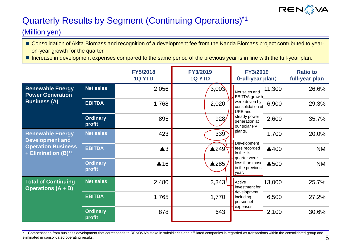

# Quarterly Results by Segment (Continuing Operations)\*1

#### (Million yen)

- Consolidation of Akita Biomass and recognition of a development fee from the Kanda Biomass project contributed to yearon-year growth for the quarter.
- Increase in development expenses compared to the same period of the previous year is in line with the full-year plan.

|                                                                                                       |                           | <b>FY5/2018</b><br><b>1Q YTD</b> | <b>FY3/2019</b><br><b>1Q YTD</b> |                                                            | FY3/2019<br>(Full-year plan) | <b>Ratio to</b><br>full-year plan |
|-------------------------------------------------------------------------------------------------------|---------------------------|----------------------------------|----------------------------------|------------------------------------------------------------|------------------------------|-----------------------------------|
| <b>Renewable Energy</b><br><b>Power Generation</b><br><b>Business (A)</b>                             | <b>Net sales</b>          | 2,056                            | 3,003                            | Net sales and<br>EBITDA growth                             | 11,300                       | 26.6%                             |
|                                                                                                       | <b>EBITDA</b>             | 1,768                            | 2,020                            | were driven by<br>consolidation of<br>URE and              | 6,900                        | 29.3%                             |
|                                                                                                       | <b>Ordinary</b><br>profit | 895                              | 928/                             | steady power<br>generation at<br>our solar PV              | 2,600                        | 35.7%                             |
| <b>Renewable Energy</b><br><b>Development and</b><br><b>Operation Business</b><br>+ Elimination (B)*1 | <b>Net sales</b>          | 423                              | 339                              | plants.                                                    | 1,700                        | 20.0%                             |
|                                                                                                       | <b>EBITDA</b>             | $\triangle 3$                    | $\triangle$ 249                  | Development<br>fees recorded<br>in the 1st<br>quarter were | ▲400                         | <b>NM</b>                         |
|                                                                                                       | <b>Ordinary</b><br>profit | $\triangle$ 16                   | ▲285                             | less than those<br>in the previous<br>year.                | ▲500                         | <b>NM</b>                         |
| <b>Total of Continuing</b><br><b>Operations (A + B)</b>                                               | <b>Net sales</b>          | 2,480                            | 3,343                            | Active<br>investment for                                   | 13,000                       | 25.7%                             |
|                                                                                                       | <b>EBITDA</b>             | 1,765                            | 1,770                            | development,<br>including<br>personnel                     | 6,500                        | 27.2%                             |
|                                                                                                       | <b>Ordinary</b><br>profit | 878                              | 643                              | expenses                                                   | 2,100                        | 30.6%                             |

\*1 Compensation from business development that corresponds to RENOVA's stake in subsidiaries and affiliated companies is regarded as transactions within the consolidated group and eliminated in consolidated operating results.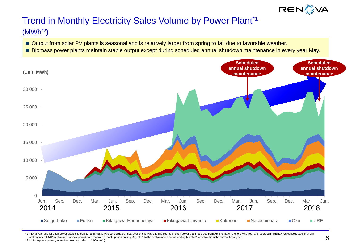

# Trend in Monthly Electricity Sales Volume by Power Plant\*1

#### (MWh\*2)

- Output from solar PV plants is seasonal and is relatively larger from spring to fall due to favorable weather.
- Biomass power plants maintain stable output except during scheduled annual shutdown maintenance in every year May.



\*1 Fiscal year-end for each power plant is March 31, and RENOVA's consolidated fiscal year-end is May 31. The figures of each power plant recorded from April to March the following year are recorded in RENOVA's consolidate statements. RENOVA changed its fiscal period from the twelve month period ending May of 31 to the twelve month period ending March 31 effective from the current fiscal year. \*2 Units express power generation volume (1 MWh = 1,000 kWh)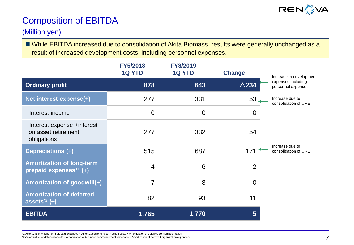

# Composition of EBITDA

#### (Million yen)

 While EBITDA increased due to consolidation of Akita Biomass, results were generally unchanged as a result of increased development costs, including personnel expenses.

|                                                                  | <b>FY5/2018</b><br><b>1Q YTD</b> | <b>FY3/2019</b><br><b>1Q YTD</b> | <b>Change</b>   | Increase in development                  |
|------------------------------------------------------------------|----------------------------------|----------------------------------|-----------------|------------------------------------------|
| <b>Ordinary profit</b>                                           | 878                              | 643                              | $\triangle$ 234 | expenses including<br>personnel expenses |
| Net interest expense(+)                                          | 277                              | 331                              | 53              | Increase due to<br>consolidation of URE  |
| Interest income                                                  | $\overline{0}$                   | $\overline{0}$                   | $\Omega$        |                                          |
| Interest expense +interest<br>on asset retirement<br>obligations | 277                              | 332                              | 54              |                                          |
| Depreciations (+)                                                | 515                              | 687                              | 171             | Increase due to<br>consolidation of URE  |
| <b>Amortization of long-term</b><br>prepaid expenses $*1$ (+)    | $\overline{4}$                   | 6                                | $\overline{2}$  |                                          |
| Amortization of goodwill(+)                                      | $\overline{7}$                   | 8                                | $\Omega$        |                                          |
| <b>Amortization of deferred</b><br>assets $2$ (+)                | 82                               | 93                               | 11              |                                          |
| <b>EBITDA</b>                                                    | 1,765                            | 1,770                            | 5               |                                          |

\*1 Amortization of long-term prepaid expenses = Amortization of grid connection costs + Amortization of deferred consumption taxes..

\*2 Amortization of deferred assets = Amortization of business commencement expenses + Amortization of deferred organization expenses.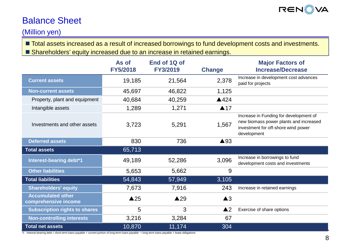

### Balance Sheet

#### (Million yen)

**The Total assets increased as a result of increased borrowings to fund development costs and investments.** Shareholders' equity increased due to an increase in retained earnings.

|                                                  | As of<br><b>FY5/2018</b> | End of 1Q of<br><b>FY3/2019</b> | <b>Change</b>      | <b>Major Factors of</b><br><b>Increase/Decrease</b>                                                                                    |
|--------------------------------------------------|--------------------------|---------------------------------|--------------------|----------------------------------------------------------------------------------------------------------------------------------------|
| <b>Current assets</b>                            | 19,185                   | 21,564                          | 2,378              | Increase in development cost advances<br>paid for projects                                                                             |
| <b>Non-current assets</b>                        | 45,697                   | 46,822                          | 1,125              |                                                                                                                                        |
| Property, plant and equipment                    | 40,684                   | 40,259                          | ▲424               |                                                                                                                                        |
| Intangible assets                                | 1,289                    | 1,271                           | $\triangle$ 17     |                                                                                                                                        |
| Investments and other assets                     | 3,723                    | 5,291                           | 1,567              | Increase in Funding for development of<br>new biomass power plants and increased<br>investment for off-shore wind power<br>development |
| <b>Deferred assets</b>                           | 830                      | 736                             | ▲93                |                                                                                                                                        |
| <b>Total assets</b>                              | 65,713                   |                                 |                    |                                                                                                                                        |
| Interest-bearing debt*1                          | 49,189                   | 52,286                          | 3,096              | Increase in borrowings to fund<br>development costs and investments                                                                    |
| <b>Other liabilities</b>                         | 5,653                    | 5,662                           | 9                  |                                                                                                                                        |
| <b>Total liabilities</b>                         | 54,843                   | 57,949                          | 3,105              |                                                                                                                                        |
| <b>Shareholders' equity</b>                      | 7,673                    | 7,916                           | 243                | Increase in retained earnings                                                                                                          |
| <b>Accumulated other</b><br>comprehensive income | $\triangle 25$           | $\triangle 29$                  | $\triangle 3$      |                                                                                                                                        |
| <b>Subscription rights to shares</b>             | 5                        | 3                               | $\blacktriangle$ 2 | Exercise of share options                                                                                                              |
| <b>Non-controlling interests</b>                 | 3,216                    | 3,284                           | 67                 |                                                                                                                                        |
| <b>Total net assets</b>                          | 10,870                   | 11,174                          | 304                |                                                                                                                                        |

\*1 Interest-bearing debt = short-term loans payable + current portion of long-term loans payable + long-term loans payable + lease obligations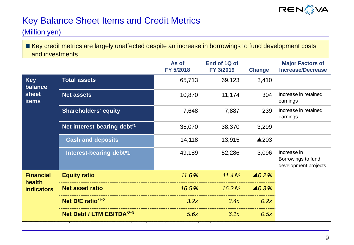

# Key Balance Sheet Items and Credit Metrics

(Million yen)

Key credit metrics are largely unaffected despite an increase in borrowings to fund development costs and investments.

|                                                |                                         | As of<br>FY 5/2018 | End of 1Q of<br>FY 3/2019 | <b>Change</b>     | <b>Major Factors of</b><br><b>Increase/Decrease</b>       |
|------------------------------------------------|-----------------------------------------|--------------------|---------------------------|-------------------|-----------------------------------------------------------|
| <b>Key</b><br>balance<br>sheet<br><b>items</b> | <b>Total assets</b>                     | 65,713             | 69,123                    | 3,410             |                                                           |
|                                                | <b>Net assets</b>                       | 10,870             | 11,174                    | 304               | Increase in retained<br>earnings                          |
|                                                | <b>Shareholders' equity</b>             | 7,648              | 7,887                     | 239               | Increase in retained<br>earnings                          |
|                                                | Net interest-bearing debt <sup>*1</sup> | 35,070             | 38,370                    | 3,299             |                                                           |
|                                                | <b>Cash and deposits</b>                | 14,118             | 13,915                    | ▲203              |                                                           |
|                                                | Interest-bearing debt*1                 | 49,189             | 52,286                    | 3,096             | Increase in<br>Borrowings to fund<br>development projects |
| <b>Financial</b><br>health                     | <b>Equity ratio</b>                     | 11.6%              | 11.4%                     | $\triangle 0.2\%$ |                                                           |
| <b>indicators</b>                              | <b>Net asset ratio</b>                  | 16.5%              | $16.2\%$                  | $\triangle 0.3\%$ |                                                           |
|                                                | Net D/E ratio*1*2                       | 3.2x               | 3.4x                      | 0.2x              |                                                           |
|                                                | Net Debt / LTM EBITDA*2*3               | 5.6x               | 6.1x                      | 0.5x              |                                                           |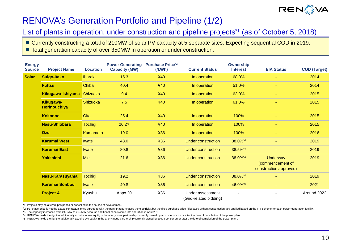

# RENOVA's Generation Portfolio and Pipeline (1/2)

List of plants in operation, under construction and pipeline projects<sup>\*1</sup> (as of October 5, 2018)

■ Currently constructing a total of 210MW of solar PV capacity at 5 separate sites. Expecting sequential COD in 2019. ■ Total generation capacity of over 350MW in operation or under construction.

| <b>Energy</b><br><b>Source</b> | <b>Project Name</b>              | <b>Location</b> | <b>Power Generating</b><br><b>Capacity (MW)</b> | <b>Purchase Price<sup>*2</sup></b><br>$($ /kWh $)$ | <b>Current Status</b>                      | <b>Ownership</b><br><b>Interest</b> | <b>EIA Status</b>                                             | <b>COD (Target)</b> |
|--------------------------------|----------------------------------|-----------------|-------------------------------------------------|----------------------------------------------------|--------------------------------------------|-------------------------------------|---------------------------------------------------------------|---------------------|
| <b>Solar</b>                   | <b>Suigo-Itako</b>               | <b>Ibaraki</b>  | 15.3                                            | 440                                                | In operation                               | 68.0%                               |                                                               | 2014                |
|                                | <b>Futtsu</b>                    | Chiba           | 40.4                                            | 440                                                | In operation                               | 51.0%                               | $\sim$                                                        | 2014                |
|                                | Kikugawa-Ishiyama                | Shizuoka        | 9.4                                             | 440                                                | In operation                               | 63.0%                               |                                                               | 2015                |
|                                | Kikugawa-<br><b>Horinouchiya</b> | Shizuoka        | 7.5                                             | 440                                                | In operation                               | 61.0%                               |                                                               | 2015                |
|                                | <b>Kokonoe</b>                   | Oita            | 25.4                                            | 440                                                | In operation                               | 100%                                |                                                               | 2015                |
|                                | <b>Nasu-Shiobara</b>             | Tochigi         | $26.2^{*3}$                                     | 440                                                | In operation                               | 100%                                |                                                               | 2015                |
|                                | Ozu                              | Kumamoto        | 19.0                                            | ¥36                                                | In operation                               | 100%                                | $\sim$                                                        | 2016                |
|                                | <b>Karumai West</b>              | <b>Iwate</b>    | 48.0                                            | ¥36                                                | <b>Under construction</b>                  | $38.0\%$ <sup>*4</sup>              | $\sim$                                                        | 2019                |
|                                | <b>Karumai East</b>              | <b>Iwate</b>    | 80.8                                            | ¥36                                                | Under construction                         | 38.5%*4                             |                                                               | 2019                |
|                                | <b>Yokkaichi</b>                 | <b>Mie</b>      | 21.6                                            | ¥36                                                | Under construction                         | 38.0%*4                             | <b>Underway</b><br>(commencement of<br>construction approved) | 2019                |
|                                | Nasu-Karasuyama                  | <b>Tochigi</b>  | 19.2                                            | ¥36                                                | Under construction                         | $38.0\%$ <sup>*4</sup>              |                                                               | 2019                |
|                                | <b>Karumai Sonbou</b>            | <b>Iwate</b>    | 40.8                                            | ¥36                                                | Under construction                         | 46.0%*5                             |                                                               | 2021                |
|                                | <b>Project A</b>                 | Kyushu          | Appx.20                                         | ¥36                                                | Under assessment<br>(Grid-related bidding) |                                     |                                                               | Around 2022         |

\*1 Projects may be altered, postponed or cancelled in the course of development.

\*2 Purchase price is not the actual contractual price agreed to with the party that purchases the electricity, but the fixed purchase price (displayed without consumption tax) applied based on the FIT Scheme for each power

\*3 The capacity increased from 24.8MW to 26.2MW because additional panels came into operation in April 2018.

\*4 RENOVA holds the right to additionally acquire whole equity in the anonymous partnership currently owned by a co-sponsor on or after the date of completion of the power plant.

\*5 RENOVA holds the right to additionally acquire 9% equity in the anonymous partnership currently owned by a co-sponsor on or after the date of completion of the power plant.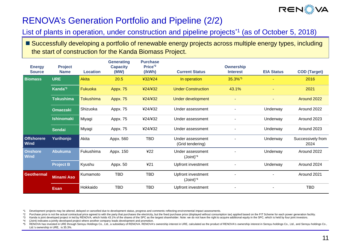

# RENOVA's Generation Portfolio and Pipeline (2/2)

List of plants in operation, under construction and pipeline projects<sup>\*1</sup> (as of October 5, 2018)

**Power**  ■ Successfully developing a portfolio of renewable energy projects across multiple energy types, including the start of construction for the Kanda Biomass Project.

| <b>Energy</b><br><b>Source</b> | <b>Project</b><br><b>Name</b> | Location         | <b>Generating</b><br><b>Capacity</b><br>(MW) | <b>Purchase</b><br>Price <sup>*2</sup><br>$($ /kWh $)$ | <b>Current Status</b>                                        | <b>Ownership</b><br><b>Interest</b> | <b>EIA Status</b> | <b>COD</b> (Target)       |
|--------------------------------|-------------------------------|------------------|----------------------------------------------|--------------------------------------------------------|--------------------------------------------------------------|-------------------------------------|-------------------|---------------------------|
| <b>Biomass</b>                 | <b>URE</b>                    | <b>Akita</b>     | 20.5                                         | ¥32/¥24                                                | In operation                                                 | 35.3%*5                             |                   | 2016                      |
|                                | Kanda <sup>*3</sup>           | Fukuoka          | <b>Appx. 75</b>                              | ¥24/¥32                                                | <b>Under Construction</b>                                    | 43.1%                               |                   | 2021                      |
|                                | <b>Tokushima</b>              | <b>Tokushima</b> | <b>Appx. 75</b>                              | 424/432                                                | Under development                                            |                                     |                   | Around 2022               |
|                                | <b>Omaezaki</b>               | Shizuoka         | Appx. 75                                     | ¥24/¥32                                                | Under assessment                                             |                                     | Underway          | Around 2022               |
|                                | <b>Ishinomaki</b>             | Miyagi           | Appx. 75                                     | ¥24/¥32                                                | Under assessment                                             |                                     | Underway          | Around 2023               |
|                                | <b>Sendai</b>                 | Miyagi           | Appx. 75                                     | ¥24/¥32                                                | Under assessment                                             |                                     | Underway          | Around 2023               |
| <b>Offshorere</b><br>Wind      | Yurihonjo                     | Akita            | Appx. 560                                    | <b>TBD</b>                                             | Under assessment<br>(Grid tendering)                         |                                     | Underway          | Successively from<br>2024 |
| <b>Onshore</b><br><b>Wind</b>  | <b>Abukuma</b>                | Fukushima        | Appx. 150                                    | ¥22                                                    | Under assessment<br>$(Joint)^*$                              |                                     | Underway          | Around 2022               |
|                                | <b>Project B</b>              | Kyushu           | Appx. 50                                     | 421                                                    | Upfront investment                                           |                                     | Underway          | Around 2024               |
| <b>Geothermal</b>              | <b>Minami Aso</b>             | Kumamoto         | <b>TBD</b>                                   | <b>TBD</b>                                             | Upfront investment<br>$\left($ Joint $\right)$ <sup>*4</sup> |                                     |                   | Around 2021               |
|                                | <b>Esan</b>                   | Hokkaido         | TBD                                          | <b>TBD</b>                                             | Upfront investment                                           |                                     |                   | <b>TBD</b>                |

\*1 Development projects may be altered, delayed or cancelled due to development status, progress and comments reflecting environmental impact assessments.

\*2 Purchase price is not the actual contractual price agreed to with the party that purchases the electricity, but the fixed purchase price (displayed without consumption tax) applied based on the FIT Scheme for each power

\*3 Kanda is joint developed project in led by RENOVA, which holds 43.1% of the shares of the SPC as the largest shareholder. Note: we do not have the right to acquire additional equity in the SPC, which is held by four joi

\*4 (Joint) indicates a jointly developed project where another company leads development and promotion.

RENOVA has invested in URE through Sensyu Holdings Co., Ltd., a subsidiary of RENOVA. RENOVA's ownership interest in URE, calculated as the product of RENOVA's ownership interest in Sensyu holdings Co., Ltd., and Sensyu ho Ltd.'s ownership in URE, is 35.3%.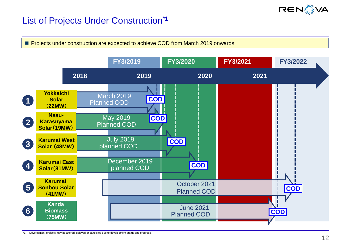

### List of Projects Under Construction\*1

**Projects under construction are expected to achieve COD from March 2019 onwards.** 



\*1 Development projects may be altered, delayed or cancelled due to development status and progress.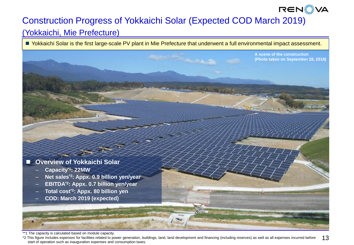# **RENS VA**

# Construction Progress of Yokkaichi Solar (Expected COD March 2019)

### (Yokkaichi, Mie Prefecture)

■ Yokkaichi Solar is the first large-scale PV plant in Mie Prefecture that underwent a full environmental impact assessment.



\*\*1 The capacity is calculated based on module capacity.

13 \*2 This figure includes expenses for facilities related to power generation, buildings, land, land development and financing (including reserves) as well as all expenses incurred before start of operation such as inauguration expenses and consumption taxes.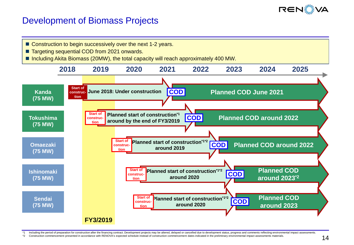

### Development of Biomass Projects

- Construction to begin successively over the next 1-2 years.
- Targeting sequential COD from 2021 onwards.
- Including Akita Biomass (20MW), the total capacity will reach approximately 400 MW.



Including the period of preparation for construction after the financing contract. Development projects may be altered, delayed or cancelled due to development status, progress and comments reflecting environmental impact

\*2 Construction commencement presented in accordance with RENOVA's expected schedule instead of construction commencement dates indicated in the preliminary environmental impact assessments materials.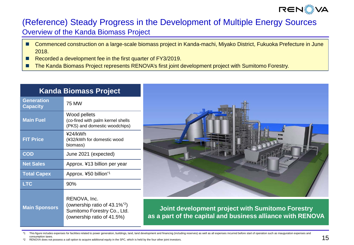

### (Reference) Steady Progress in the Development of Multiple Energy Sources Overview of the Kanda Biomass Project

- Commenced construction on a large-scale biomass project in Kanda-machi, Miyako District, Fukuoka Prefecture in June 2018.
- Recorded a development fee in the first quarter of FY3/2019.
- The Kanda Biomass Project represents RENOVA's first joint development project with Sumitomo Forestry.

| <u>Kanda</u> Biomass Project |                                                                                                                        |  |  |  |
|------------------------------|------------------------------------------------------------------------------------------------------------------------|--|--|--|
| Generation<br>Capacity       | 75 MW                                                                                                                  |  |  |  |
| <b>Main Fuel</b>             | Wood pellets<br>(co-fired with palm kernel shells<br>(PKS) and domestic woodchips)                                     |  |  |  |
| <b>FIT Price</b>             | ¥24/kWh<br>(¥32/kWh for domestic wood<br>biomass)                                                                      |  |  |  |
| <b>COD</b>                   | June 2021 (expected)                                                                                                   |  |  |  |
| <b>Net Sales</b>             | Approx. ¥13 billion per year                                                                                           |  |  |  |
| <b>Total Capex</b>           | Approx. ¥50 billion <sup>*1</sup>                                                                                      |  |  |  |
| <b>LTC</b>                   | 90%                                                                                                                    |  |  |  |
| <b>Main Sponsors</b>         | RENOVA, Inc.<br>(ownership ratio of 43.1% <sup>*2</sup> )<br>Sumitomo Forestry Co., Ltd.<br>(ownership ratio of 41.5%) |  |  |  |



**Joint development project with Sumitomo Forestry as a part of the capital and business alliance with RENOVA**

This figure includes expenses for facilities related to power generation, buildings, land, land development and financing (including reserves) as well as all expenses incurred before start of operation such as inauguration consumption taxes.

RENOVA does not possess a call option to acquire additional equity in the SPC, which is held by the four other joint investors.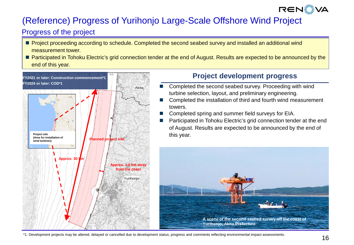# **RENS VA**

# (Reference) Progress of Yurihonjo Large-Scale Offshore Wind Project

### Progress of the project

- **Project proceeding according to schedule. Completed the second seabed survey and installed an additional wind** measurement tower.
- **Participated in Tohoku Electric's grid connection tender at the end of August. Results are expected to be announced by the** end of this year.



### **Project development progress**

- Completed the second seabed survey. Proceeding with wind turbine selection, layout, and preliminary engineering.
- Completed the installation of third and fourth wind measurement towers.
- Completed spring and summer field surveys for EIA.
- Participated in Tohoku Electric's grid connection tender at the end of August. Results are expected to be announced by the end of this year.



\*1. Development projects may be altered, delayed or cancelled due to development status, progress and comments reflecting environmental impact assessments.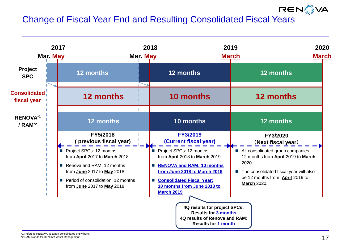# Change of Fiscal Year End and Resulting Consolidated Fiscal Years



**RENS VA**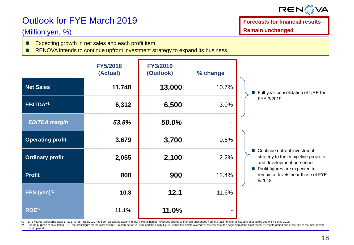

# Outlook for FYE March 2019

#### (Million yen, %)

Expecting growth in net sales and each profit item.

RENOVA intends to continue upfront investment strategy to expand its business.

**FY5/2018 (Actual) FY3/2019 (Outlook) % change Net Sales 11,740 13,000** 10.7% **EBITDA\*1 6,312 6,500** 3.0% *EBITDA margin 53.8% 50.0%* ‐ **Operating profit 3,679 3,700** 0.6% **Ordinary profit 2,055 2,100** 2.2% **Profit 800 900** 12.4% **EPS (yen)\*1 10.8 12.1** 11.6% **ROE\*2 11.1% 11.0%** - ■ Full-year consolidation of URE for FYE 3/2019. ■ Continue upfront investment strategy to fortify pipeline projects and development personnel. Profit figures are expected to remain at levels near those of FYE 5/2018

EPS figures represents basic EPS. EPS for FYE 3/2019 has been calculated assuming that the total number of issued shares will remain unchanged from the total number of issued shares at the end of FYE May 2018.

\*2 For the purpose of calculating ROE, the profit figure for the most recent 12-month period is used, and the equity figure used is the simple average of the values at the beginning of the most recent 12-month period and a month period.

**Forecasts for financial results Remain unchanged**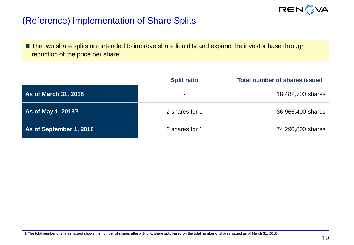

### (Reference) Implementation of Share Splits

**The two share splits are intended to improve share liquidity and expand the investor base through** reduction of the price per share.

|                                 | <b>Split ratio</b> | <b>Total number of shares issued</b> |
|---------------------------------|--------------------|--------------------------------------|
| <b>As of March 31, 2018</b>     | $\blacksquare$     | 18,482,700 shares                    |
| As of May 1, 2018 <sup>*1</sup> | 2 shares for 1     | 36,965,400 shares                    |
| As of September 1, 2018         | 2 shares for 1     | 74,290,800 shares                    |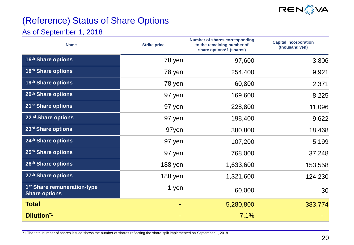

# (Reference) Status of Share Options

### As of September 1, 2018

| <b>Name</b>                                                     | <b>Strike price</b> | <b>Number of shares corresponding</b><br>to the remaining number of<br>share options*1 (shares) | <b>Capital incorporation</b><br>(thousand yen) |
|-----------------------------------------------------------------|---------------------|-------------------------------------------------------------------------------------------------|------------------------------------------------|
| 16th Share options                                              | 78 yen              | 97,600                                                                                          | 3,806                                          |
| 18th Share options                                              | 78 yen              | 254,400                                                                                         | 9,921                                          |
| 19th Share options                                              | 78 yen              | 60,800                                                                                          | 2,371                                          |
| 20th Share options                                              | 97 yen              | 169,600                                                                                         | 8,225                                          |
| 21 <sup>st</sup> Share options                                  | 97 yen              | 228,800                                                                                         | 11,096                                         |
| 22nd Share options                                              | 97 yen              | 198,400                                                                                         | 9,622                                          |
| 23rd Share options                                              | 97yen               | 380,800                                                                                         | 18,468                                         |
| 24th Share options                                              | 97 yen              | 107,200                                                                                         | 5,199                                          |
| 25th Share options                                              | 97 yen              | 768,000                                                                                         | 37,248                                         |
| 26th Share options                                              | 188 yen             | 1,633,600                                                                                       | 153,558                                        |
| 27th Share options                                              | 188 yen             | 1,321,600                                                                                       | 124,230                                        |
| 1 <sup>st</sup> Share remuneration-type<br><b>Share options</b> | 1 yen               | 60,000                                                                                          | 30                                             |
| <b>Total</b>                                                    |                     | 5,280,800                                                                                       | 383,774                                        |
| <b>Dilution*1</b>                                               |                     | 7.1%                                                                                            |                                                |

\*1 The total number of shares issued shows the number of shares reflecting the share split implemented on September 1, 2018.